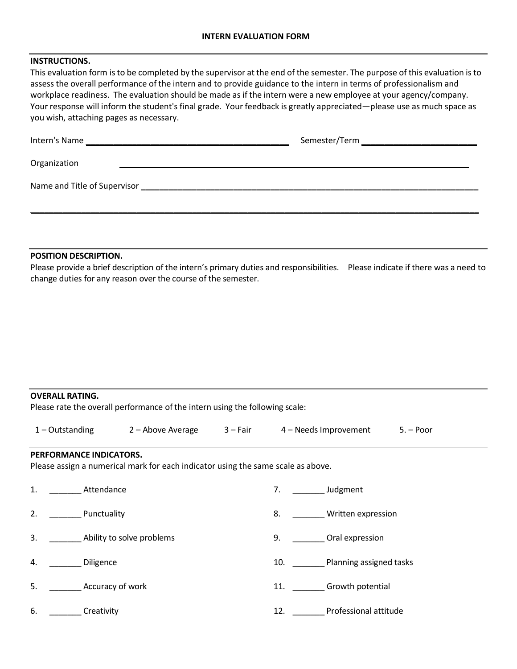# **INSTRUCTIONS.**

This evaluation form is to be completed by the supervisor at the end of the semester. The purpose of this evaluation is to assess the overall performance of the intern and to provide guidance to the intern in terms of professionalism and workplace readiness. The evaluation should be made as if the intern were a new employee at your agency/company. Your response will inform the student's final grade. Your feedback is greatly appreciated—please use as much space as you wish, attaching pages as necessary.

| Organization                                                                                       |  |  |  |  |  |  |
|----------------------------------------------------------------------------------------------------|--|--|--|--|--|--|
| Name and Title of Supervisor<br><u> 1980 - Jan Samuel Barbara, margaret eta idazlea (h. 1980).</u> |  |  |  |  |  |  |
|                                                                                                    |  |  |  |  |  |  |

## **POSITION DESCRIPTION.**

Please provide a brief description of the intern's primary duties and responsibilities. Please indicate if there was a need to change duties for any reason over the course of the semester.

#### **OVERALL RATING.**

Please rate the overall performance of the intern using the following scale:

| $1$ – Outstanding | 2 – Above Average | 3 – Fair | 4 – Needs Improvement | 5. – Poor |
|-------------------|-------------------|----------|-----------------------|-----------|
|                   |                   |          |                       |           |

### **PERFORMANCE INDICATORS.**

Please assign a numerical mark for each indicator using the same scale as above.

| 1. | Attendance                | Judgment<br>7.                 |
|----|---------------------------|--------------------------------|
| 2. | Punctuality               | 8.<br>Written expression       |
| 3. | Ability to solve problems | Oral expression<br>9.          |
| 4. | Diligence                 | Planning assigned tasks<br>10. |
| .5 | Accuracy of work          | Growth potential<br>11.        |
| 6. | Creativity                | Professional attitude<br>12.   |